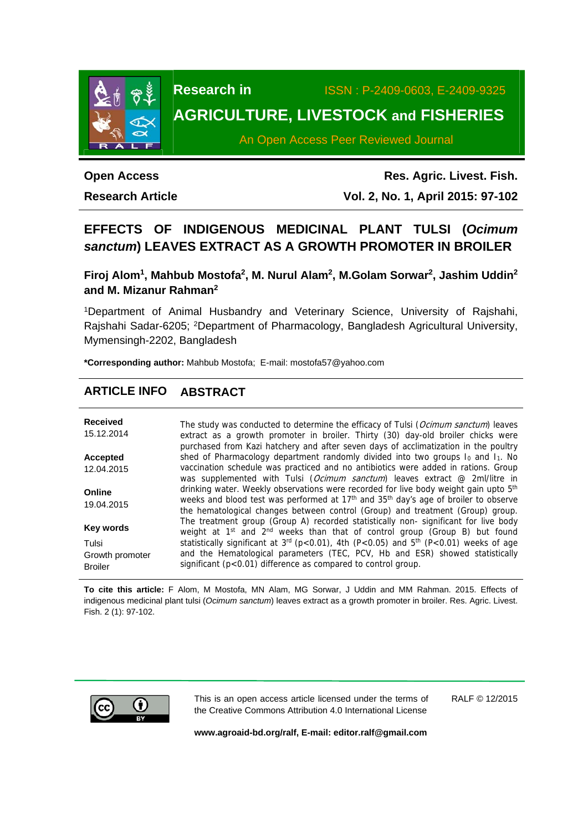

**Research in** ISSN : P-2409-0603, E-2409-9325

# **AGRICULTURE, LIVESTOCK and FISHERIES**

An Open Access Peer Reviewed Journal

# **Open Access**

**Research Article** 

**Res. Agric. Livest. Fish. Vol. 2, No. 1, April 2015: 97-102**

## **EFFECTS OF INDIGENOUS MEDICINAL PLANT TULSI (***Ocimum sanctum***) LEAVES EXTRACT AS A GROWTH PROMOTER IN BROILER**

**Firoj Alom1, Mahbub Mostofa2, M. Nurul Alam2, M.Golam Sorwar2, Jashim Uddin2 and M. Mizanur Rahman2** 

1Department of Animal Husbandry and Veterinary Science, University of Rajshahi, Rajshahi Sadar-6205; 2Department of Pharmacology, Bangladesh Agricultural University, Mymensingh-2202, Bangladesh

**\*Corresponding author:** Mahbub Mostofa; E-mail: mostofa57@yahoo.com

## **ARTICLE INFO ABSTRACT**

| <b>Received</b><br>15.12.2014 | The study was conducted to determine the efficacy of Tulsi (Ocimum sanctum) leaves<br>extract as a growth promoter in broiler. Thirty (30) day-old broiler chicks were<br>purchased from Kazi hatchery and after seven days of acclimatization in the poultry |
|-------------------------------|---------------------------------------------------------------------------------------------------------------------------------------------------------------------------------------------------------------------------------------------------------------|
| Accepted                      | shed of Pharmacology department randomly divided into two groups Io and I <sub>1</sub> . No                                                                                                                                                                   |
| 12.04.2015                    | vaccination schedule was practiced and no antibiotics were added in rations. Group                                                                                                                                                                            |
|                               | was supplemented with Tulsi (Ocimum sanctum) leaves extract @ 2ml/litre in                                                                                                                                                                                    |
| Online                        | drinking water. Weekly observations were recorded for live body weight gain upto 5 <sup>th</sup>                                                                                                                                                              |
| 19.04.2015                    | weeks and blood test was performed at 17 <sup>th</sup> and 35 <sup>th</sup> day's age of broiler to observe<br>the hematological changes between control (Group) and treatment (Group) group.                                                                 |
|                               | The treatment group (Group A) recorded statistically non-significant for live body                                                                                                                                                                            |
| <b>Key words</b>              | weight at 1 <sup>st</sup> and 2 <sup>nd</sup> weeks than that of control group (Group B) but found                                                                                                                                                            |
| Tulsi                         | statistically significant at $3^{rd}$ (p<0.01), 4th (P<0.05) and $5^{th}$ (P<0.01) weeks of age                                                                                                                                                               |
| Growth promoter               | and the Hematological parameters (TEC, PCV, Hb and ESR) showed statistically                                                                                                                                                                                  |
| <b>Broiler</b>                | significant (p<0.01) difference as compared to control group.                                                                                                                                                                                                 |

**To cite this article:** F Alom, M Mostofa, MN Alam, MG Sorwar, J Uddin and MM Rahman. 2015. Effects of indigenous medicinal plant tulsi (*Ocimum sanctum*) leaves extract as a growth promoter in broiler. Res. Agric. Livest. Fish. 2 (1): 97-102.



This is an open access article licensed under the terms of the Creative Commons Attribution 4.0 International License

RALF © 12/2015

**www.agroaid-bd.org/ralf, E-mail: editor.ralf@gmail.com**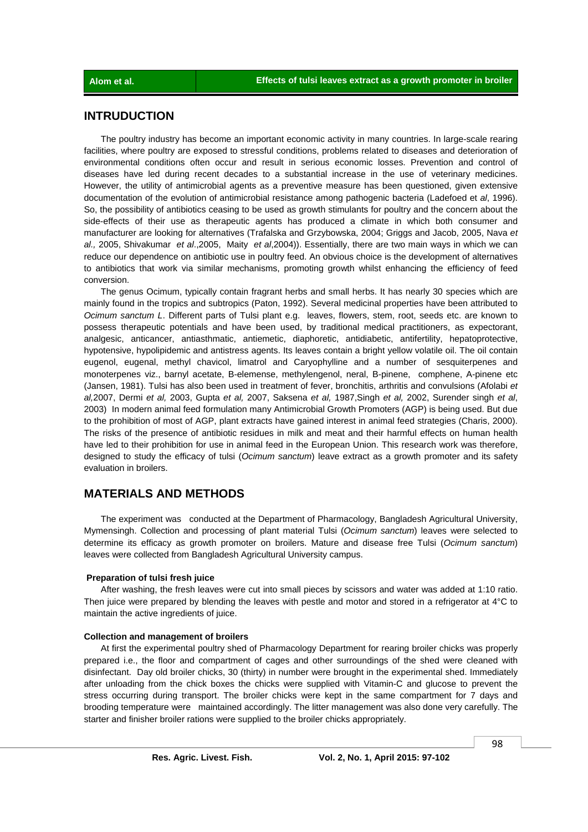### **INTRUDUCTION**

 The poultry industry has become an important economic activity in many countries. In large-scale rearing facilities, where poultry are exposed to stressful conditions, problems related to diseases and deterioration of environmental conditions often occur and result in serious economic losses. Prevention and control of diseases have led during recent decades to a substantial increase in the use of veterinary medicines. However, the utility of antimicrobial agents as a preventive measure has been questioned, given extensive documentation of the evolution of antimicrobial resistance among pathogenic bacteria (Ladefoed et *al*, 1996). So, the possibility of antibiotics ceasing to be used as growth stimulants for poultry and the concern about the side-effects of their use as therapeutic agents has produced a climate in which both consumer and manufacturer are looking for alternatives (Trafalska and Grzybowska, 2004; Griggs and Jacob, 2005, Nava *et al.,* 2005, Shivakumar *et al*.,2005, Maity *et al*,2004)). Essentially, there are two main ways in which we can reduce our dependence on antibiotic use in poultry feed. An obvious choice is the development of alternatives to antibiotics that work via similar mechanisms, promoting growth whilst enhancing the efficiency of feed conversion.

 The genus Ocimum, typically contain fragrant herbs and small herbs. It has nearly 30 species which are mainly found in the tropics and subtropics (Paton, 1992). Several medicinal properties have been attributed to *Ocimum sanctum L*. Different parts of Tulsi plant e.g. leaves, flowers, stem, root, seeds etc. are known to possess therapeutic potentials and have been used, by traditional medical practitioners, as expectorant, analgesic, anticancer, antiasthmatic, antiemetic, diaphoretic, antidiabetic, antifertility, hepatoprotective, hypotensive, hypolipidemic and antistress agents. Its leaves contain a bright yellow volatile oil. The oil contain eugenol, eugenal, methyl chavicol, limatrol and Caryophylline and a number of sesquiterpenes and monoterpenes viz., barnyl acetate, B-elemense, methylengenol, neral, B-pinene, comphene, A-pinene etc (Jansen, 1981). Tulsi has also been used in treatment of fever, bronchitis, arthritis and convulsions (Afolabi *et al,*2007, Dermi *et al,* 2003, Gupta *et al,* 2007, Saksena *et al,* 1987,Singh *et al,* 2002, Surender singh *et al*, 2003) In modern animal feed formulation many Antimicrobial Growth Promoters (AGP) is being used. But due to the prohibition of most of AGP, plant extracts have gained interest in animal feed strategies (Charis, 2000). The risks of the presence of antibiotic residues in milk and meat and their harmful effects on human health have led to their prohibition for use in animal feed in the European Union. This research work was therefore, designed to study the efficacy of tulsi (*Ocimum sanctum*) leave extract as a growth promoter and its safety evaluation in broilers.

## **MATERIALS AND METHODS**

 The experiment was conducted at the Department of Pharmacology, Bangladesh Agricultural University, Mymensingh. Collection and processing of plant material Tulsi (*Ocimum sanctum*) leaves were selected to determine its efficacy as growth promoter on broilers. Mature and disease free Tulsi (*Ocimum sanctum*) leaves were collected from Bangladesh Agricultural University campus.

#### **Preparation of tulsi fresh juice**

 After washing, the fresh leaves were cut into small pieces by scissors and water was added at 1:10 ratio. Then juice were prepared by blending the leaves with pestle and motor and stored in a refrigerator at 4°C to maintain the active ingredients of juice.

#### **Collection and management of broilers**

 At first the experimental poultry shed of Pharmacology Department for rearing broiler chicks was properly prepared i.e., the floor and compartment of cages and other surroundings of the shed were cleaned with disinfectant. Day old broiler chicks, 30 (thirty) in number were brought in the experimental shed. Immediately after unloading from the chick boxes the chicks were supplied with Vitamin-C and glucose to prevent the stress occurring during transport. The broiler chicks were kept in the same compartment for 7 days and brooding temperature were maintained accordingly. The litter management was also done very carefully. The starter and finisher broiler rations were supplied to the broiler chicks appropriately.

98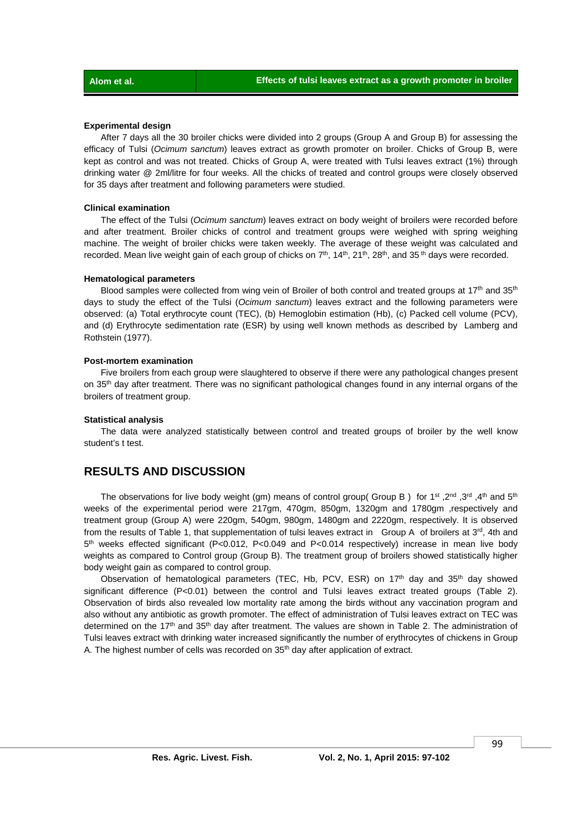#### **Experimental design**

 After 7 days all the 30 broiler chicks were divided into 2 groups (Group A and Group B) for assessing the efficacy of Tulsi (*Ocimum sanctum*) leaves extract as growth promoter on broiler. Chicks of Group B, were kept as control and was not treated. Chicks of Group A, were treated with Tulsi leaves extract (1%) through drinking water @ 2ml/litre for four weeks. All the chicks of treated and control groups were closely observed for 35 days after treatment and following parameters were studied.

#### **Clinical examination**

 The effect of the Tulsi (*Ocimum sanctum*) leaves extract on body weight of broilers were recorded before and after treatment. Broiler chicks of control and treatment groups were weighed with spring weighing machine. The weight of broiler chicks were taken weekly. The average of these weight was calculated and recorded. Mean live weight gain of each group of chicks on  $7<sup>th</sup>$ ,  $14<sup>th</sup>$ ,  $21<sup>th</sup>$ ,  $28<sup>th</sup>$ , and 35<sup>th</sup> days were recorded.

#### **Hematological parameters**

Blood samples were collected from wing vein of Broiler of both control and treated groups at  $17<sup>th</sup>$  and  $35<sup>th</sup>$ days to study the effect of the Tulsi (*Ocimum sanctum*) leaves extract and the following parameters were observed: (a) Total erythrocyte count (TEC), (b) Hemoglobin estimation (Hb), (c) Packed cell volume (PCV), and (d) Erythrocyte sedimentation rate (ESR) by using well known methods as described by Lamberg and Rothstein (1977).

#### **Post-mortem examination**

 Five broilers from each group were slaughtered to observe if there were any pathological changes present on 35<sup>th</sup> day after treatment. There was no significant pathological changes found in any internal organs of the broilers of treatment group.

#### **Statistical analysis**

 The data were analyzed statistically between control and treated groups of broiler by the well know student's t test.

## **RESULTS AND DISCUSSION**

The observations for live body weight (gm) means of control group( Group B) for 1<sup>st</sup>, 2<sup>nd</sup>, 3<sup>rd</sup> ,4<sup>th</sup> and 5<sup>th</sup> weeks of the experimental period were 217gm, 470gm, 850gm, 1320gm and 1780gm ,respectively and treatment group (Group A) were 220gm, 540gm, 980gm, 1480gm and 2220gm, respectively. It is observed from the results of Table 1, that supplementation of tulsi leaves extract in Group A of broilers at  $3<sup>rd</sup>$ , 4th and 5th weeks effected significant (P<0.012, P<0.049 and P<0.014 respectively) increase in mean live body weights as compared to Control group (Group B). The treatment group of broilers showed statistically higher body weight gain as compared to control group.

Observation of hematological parameters (TEC, Hb, PCV, ESR) on 17<sup>th</sup> day and 35<sup>th</sup> day showed significant difference (P<0.01) between the control and Tulsi leaves extract treated groups (Table 2). Observation of birds also revealed low mortality rate among the birds without any vaccination program and also without any antibiotic as growth promoter. The effect of administration of Tulsi leaves extract on TEC was determined on the 17<sup>th</sup> and 35<sup>th</sup> day after treatment. The values are shown in Table 2. The administration of Tulsi leaves extract with drinking water increased significantly the number of erythrocytes of chickens in Group A. The highest number of cells was recorded on 35<sup>th</sup> day after application of extract.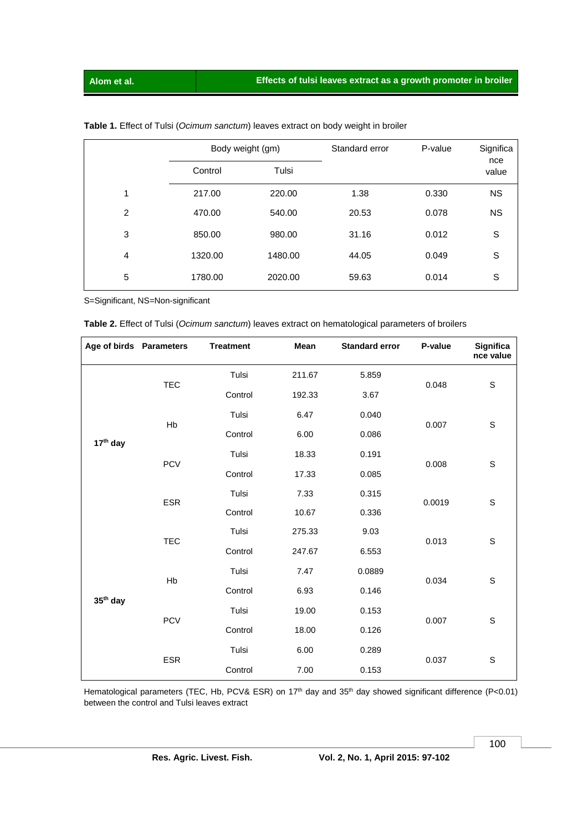|                | Body weight (gm) |         | Standard error | P-value | Significa    |
|----------------|------------------|---------|----------------|---------|--------------|
|                | Control          | Tulsi   |                |         | nce<br>value |
| 1              | 217.00           | 220.00  | 1.38           | 0.330   | <b>NS</b>    |
| 2              | 470.00           | 540.00  | 20.53          | 0.078   | <b>NS</b>    |
| 3              | 850.00           | 980.00  | 31.16          | 0.012   | S            |
| $\overline{4}$ | 1320.00          | 1480.00 | 44.05          | 0.049   | S            |
| 5              | 1780.00          | 2020.00 | 59.63          | 0.014   | S            |

### **Table 1.** Effect of Tulsi (*Ocimum sanctum*) leaves extract on body weight in broiler

S=Significant, NS=Non-significant

|  |  |  | Table 2. Effect of Tulsi (Ocimum sanctum) leaves extract on hematological parameters of broilers |  |
|--|--|--|--------------------------------------------------------------------------------------------------|--|
|--|--|--|--------------------------------------------------------------------------------------------------|--|

| Age of birds Parameters |            | <b>Treatment</b> | Mean   | <b>Standard error</b> | P-value | <b>Significa</b><br>nce value |
|-------------------------|------------|------------------|--------|-----------------------|---------|-------------------------------|
| 17 <sup>th</sup> day    | <b>TEC</b> | Tulsi            | 211.67 | 5.859                 | 0.048   | S                             |
|                         |            | Control          | 192.33 | 3.67                  |         |                               |
|                         | Hb         | Tulsi            | 6.47   | 0.040                 | 0.007   | S                             |
|                         |            | Control          | 6.00   | 0.086                 |         |                               |
|                         | <b>PCV</b> | Tulsi            | 18.33  | 0.191                 | 0.008   | S                             |
|                         |            | Control          | 17.33  | 0.085                 |         |                               |
|                         | <b>ESR</b> | Tulsi            | 7.33   | 0.315                 | 0.0019  | S                             |
|                         |            | Control          | 10.67  | 0.336                 |         |                               |
| 35 <sup>th</sup> day    | <b>TEC</b> | Tulsi            | 275.33 | 9.03                  | 0.013   | S                             |
|                         |            | Control          | 247.67 | 6.553                 |         |                               |
|                         | Hb         | Tulsi            | 7.47   | 0.0889                | 0.034   | S                             |
|                         |            | Control          | 6.93   | 0.146                 |         |                               |
|                         | <b>PCV</b> | Tulsi            | 19.00  | 0.153                 | 0.007   | S                             |
|                         |            | Control          | 18.00  | 0.126                 |         |                               |
|                         | <b>ESR</b> | Tulsi            | 6.00   | 0.289                 | 0.037   | S                             |
|                         |            | Control          | 7.00   | 0.153                 |         |                               |

Hematological parameters (TEC, Hb, PCV& ESR) on 17<sup>th</sup> day and 35<sup>th</sup> day showed significant difference (P<0.01) between the control and Tulsi leaves extract

100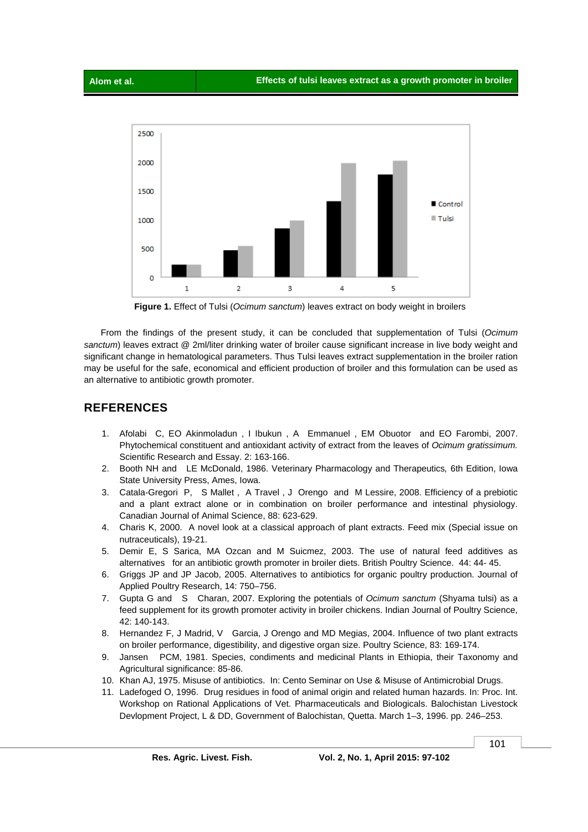



 **Figure 1.** Effect of Tulsi (*Ocimum sanctum*) leaves extract on body weight in broilers

 From the findings of the present study, it can be concluded that supplementation of Tulsi (*Ocimum sanctum*) leaves extract @ 2ml/liter drinking water of broiler cause significant increase in live body weight and significant change in hematological parameters. Thus Tulsi leaves extract supplementation in the broiler ration may be useful for the safe, economical and efficient production of broiler and this formulation can be used as an alternative to antibiotic growth promoter.

## **REFERENCES**

- 1. Afolabi C, EO Akinmoladun , I Ibukun , A Emmanuel , EM Obuotor and EO Farombi, 2007. Phytochemical constituent and antioxidant activity of extract from the leaves of *Ocimum gratissimum.* Scientific Research and Essay. 2: 163-166.
- 2. Booth NH and LE McDonald, 1986. Veterinary Pharmacology and Therapeutics*,* 6th Edition, Iowa State University Press, Ames, Iowa.
- 3. Catala-Gregori P, S Mallet , A Travel , J Orengo and M Lessire, 2008. Efficiency of a prebiotic and a plant extract alone or in combination on broiler performance and intestinal physiology. Canadian Journal of Animal Science, 88: 623-629.
- 4. Charis K, 2000. A novel look at a classical approach of plant extracts. Feed mix (Special issue on nutraceuticals), 19-21.
- 5. Demir E, S Sarica, MA Ozcan and M Suicmez, 2003. The use of natural feed additives as alternatives for an antibiotic growth promoter in broiler diets. British Poultry Science. 44: 44- 45.
- 6. Griggs JP and JP Jacob, 2005. Alternatives to antibiotics for organic poultry production. Journal of Applied Poultry Research, 14: 750–756.
- 7. Gupta G and S Charan, 2007. Exploring the potentials of *Ocimum sanctum* (Shyama tulsi) as a feed supplement for its growth promoter activity in broiler chickens. Indian Journal of Poultry Science, 42: 140-143.
- 8. Hernandez F, J Madrid, V Garcia, J Orengo and MD Megias, 2004. Influence of two plant extracts on broiler performance, digestibility, and digestive organ size. Poultry Science, 83: 169-174.
- 9. Jansen PCM, 1981. Species, condiments and medicinal Plants in Ethiopia, their Taxonomy and Agricultural significance: 85-86.
- 10. Khan AJ, 1975. Misuse of antibiotics. In: Cento Seminar on Use & Misuse of Antimicrobial Drugs.
- 11. Ladefoged O, 1996. Drug residues in food of animal origin and related human hazards. In: Proc. Int. Workshop on Rational Applications of Vet. Pharmaceuticals and Biologicals. Balochistan Livestock Devlopment Project, L & DD, Government of Balochistan, Quetta. March 1–3, 1996. pp. 246–253.